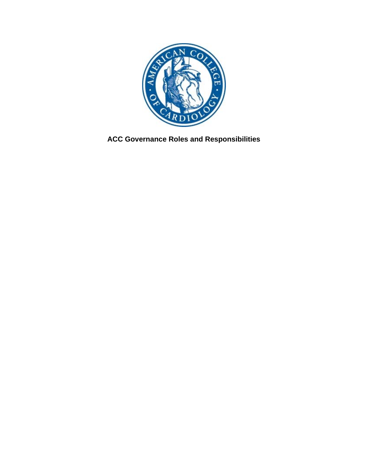

**ACC Governance Roles and Responsibilities**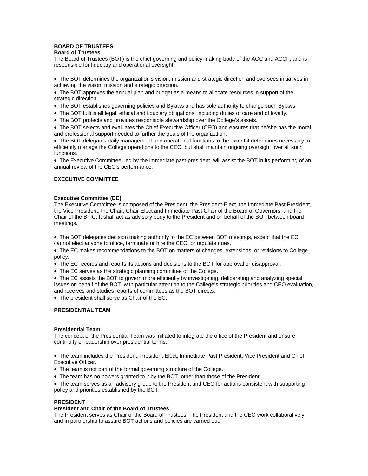# **BOARD OF TRUSTEES**

## **Board of Trustees**

The Board of Trustees (BOT) is the chief governing and policy-making body of the ACC and ACCF, and is responsible for fiduciary and operational oversight

• The BOT determines the organization's vision, mission and strategic direction and oversees initiatives in achieving the vision, mission and strategic direction.

• The BOT approves the annual plan and budget as a means to allocate resources in support of the strategic direction.

- The BOT establishes governing policies and Bylaws and has sole authority to change such Bylaws.
- The BOT fulfills all legal, ethical and fiduciary obligations, including duties of care and of loyalty.
- The BOT protects and provides responsible stewardship over the College's assets.

• The BOT selects and evaluates the Chief Executive Officer (CEO) and ensures that he/she has the moral and professional support needed to further the goals of the organization.

• The BOT delegates daily management and operational functions to the extent it determines necessary to efficiently manage the College operations to the CEO, but shall maintain ongoing oversight over all such functions.

• The Executive Committee, led by the immediate past-president, will assist the BOT in its performing of an annual review of the CEO's performance.

# **EXECUTIVE COMMITTEE**

## **Executive Committee (EC)**

The Executive Committee is composed of the President, the President-Elect, the Immediate Past President, the Vice President, the Chair, Chair-Elect and Immediate Past Chair of the Board of Governors, and the Chair of the BFIC. It shall act as advisory body to the President and on behalf of the BOT between board meetings.

• The BOT delegates decision making authority to the EC between BOT meetings, except that the EC cannot elect anyone to office, terminate or hire the CEO, or regulate dues.

• The EC makes recommendations to the BOT on matters of changes, extensions, or revisions to College policy.

- The EC records and reports its actions and decisions to the BOT for approval or disapproval.
- The EC serves as the strategic planning committee of the College.

• The EC assists the BOT to govern more efficiently by investigating, deliberating and analyzing special issues on behalf of the BOT, with particular attention to the College's strategic priorities and CEO evaluation, and receives and studies reports of committees as the BOT directs.

• The president shall serve as Chair of the EC.

# **PRESIDENTIAL TEAM**

#### **Presidential Team**

The concept of the Presidential Team was initiated to integrate the office of the President and ensure continuity of leadership over presidential terms.

• The team includes the President, President-Elect, Immediate Past President, Vice President and Chief Executive Officer.

- The team is not part of the formal governing structure of the College.
- The team has no powers granted to it by the BOT, other than those of the President.

• The team serves as an advisory group to the President and CEO for actions consistent with supporting policy and priorities established by the BOT.

## **PRESIDENT**

### **President and Chair of the Board of Trustees**

The President serves as Chair of the Board of Trustees. The President and the CEO work collaboratively and in partnership to assure BOT actions and policies are carried out.